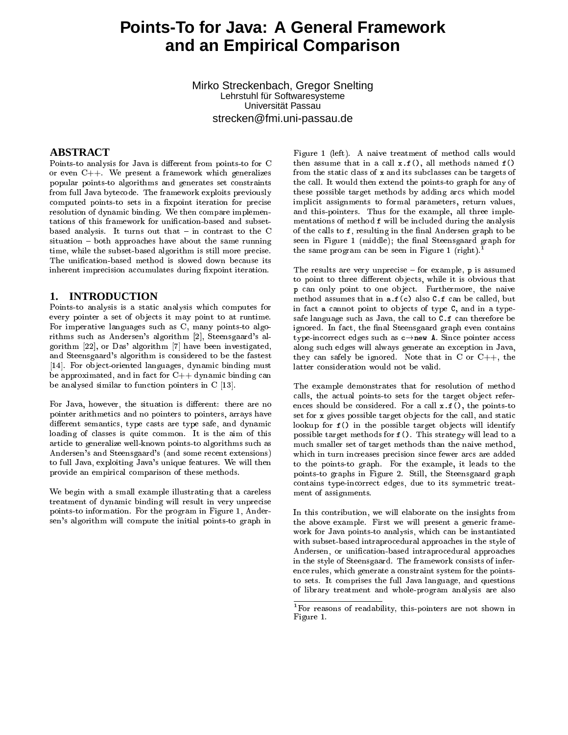# **Points-To for Java: A General Framework and an Empirical Comparison**

Mirko Streckenbach, Gregor Snelting Lehrstuhl für Softwaresysteme Universität Passau strecken@fmi.uni-passau.de

## **ABSTRACT**

Points-to analysis for Java is different from points-to for C or even C++. We present a framework whi
h generalizes popular points-to algorithms and generates set onstraints from full Java byte
ode. The framework exploits previously computed points-to sets in a fixpoint iteration for precise resolution of dynamic binding. We then compare implementations of this framework for unification-based and subsetbased analysis. It turns out that  $-$  in contrast to the C situation – both approaches have about the same running time, while the subset-based algorithm is still more precise. The unification-based method is slowed down because its inherent imprecision accumulates during fixpoint iteration.

#### **1. INTRODUCTION**

Points-to analysis is a static analysis which computes for every pointer a set of objects it may point to at runtime. For imperative languages su
h as C, many points-to algorithms such as Andersen's algorithm [2], Steensgaard's algorithm  $[22]$ , or Das' algorithm  $[7]$  have been investigated, and Steensgaard's algorithm is onsidered to be the fastest [14]. For object-oriented languages, dynamic binding must be approximated, and in fact for  $C_{++}$  dynamic binding can be analysed similar to function pointers in  $C$  [13].

For Java, however, the situation is different: there are no pointer arithmeti
s and no pointers to pointers, arrays have different semantics, type casts are type safe, and dynamic loading of classes is quite common. It is the aim of this arti
le to generalize well-known points-to algorithms su
h as Andersen's and Steensgaard's (and some recent extensions) to full Java, exploiting Java's unique features. We will then provide an empiri
al omparison of these methods.

We begin with a small example illustrating that a careless treatment of dynami binding will result in very unpre
ise points-to information. For the program in Figure 1, Andersen's algorithm will ompute the initial points-to graph in

Figure 1 (left). A naive treatment of method calls would then assume that in a call  $x.f()$ , all methods named  $f()$ from the static class of x and its subclasses can be targets of the all. It would then extend the points-to graph for any of these possible target methods by adding ar
s whi
h model impli
it assignments to formal parameters, return values, and this-pointers. Thus for the example, all three implementations of method f will be in
luded during the analysis of the calls to f, resulting in the final Andersen graph to be seen in Figure 1 (middle); the final Steensgaard graph for the same program can be seen in Figure 1 (right).

The results are very unprecise  $=$  for example,  $\mathfrak{p}$  is assumed to point to three different objects, while it is obvious that p an only point to one ob je
t. Furthermore, the naive method assumes that in  $a.f(c)$  also C.f can be called, but in fact a cannot point to objects of type C, and in a typesafe language such as Java, the call to C.f can therefore be ignored. In fact, the final Steensgaard graph even contains type-incorrect edges such as  $c \rightarrow new$  A. Since pointer access along su
h edges will always generate an ex
eption in Java, they can safely be ignored. Note that in C or  $C_{++}$ , the latter onsideration would not be valid.

The example demonstrates that for resolution of method calls, the actual points-to sets for the target object references should be considered. For a call  $x.f()$ , the points-to set for x gives possible target objects for the call, and static lookup for  $f()$  in the possible target objects will identify possible target methods for f(). This strategy will lead to a mu
h smaller set of target methods than the naive method, which in turn increases precision since fewer arcs are added to the points-to graph. For the example, it leads to the points-to graphs in Figure 2. Still, the Steensgaard graph contains type-incorrect edges, due to its symmetric treatment of assignments.

In this ontribution, we will elaborate on the insights from the above example. First we will present a generi framework for Java points-to analysis, whi
h an be instantiated with subset-based intraprocedural approaches in the style of Andersen, or unification-based intraprocedural approaches in the style of Steensgaard. The framework onsists of inferen
e rules, whi
h generate a onstraint system for the pointsto sets. It omprises the full Java language, and questions of library treatment and whole-program analysis are also

<sup>1</sup> For reasons of readability, this-pointers are not shown in Figure 1.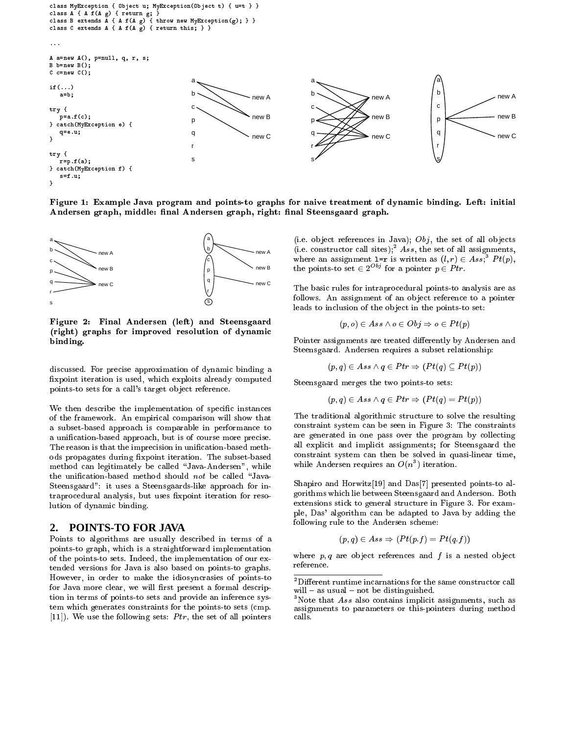

Figure 1: Example Java program and points-to graphs for naive treatment of dynami binding. Left: initial Andersen graph, middle: final Andersen graph, right: final Steensgaard graph.



Figure 2: Final Andersen (left) and Steensgaard (right) graphs for improved resolution of dynami binding.

discussed. For precise approximation of dynamic binding a fixpoint iteration is used, which exploits already computed points-to sets for a all's target ob je
t referen
e.

We then describe the implementation of specific instances of the framework. An empiri
al omparison will show that a subset-based approa
h is omparable in performan
e to a unification-based approach, but is of course more precise. The reason is that the imprecision in unification-based methods propagates during fixpoint iteration. The subset-based method can legitimately be called "Java-Andersen", while the unification-based method should not be called "Java-Steensgaard": it uses a Steensgaards-like approa
h for intraprocedural analysis, but uses fixpoint iteration for resolution of dynami binding.

## **2. POINTS-TO FOR JAVA**

Points to algorithms are usually des
ribed in terms of a points-to graph, whi
h is a straightforward implementation of the points-to sets. Indeed, the implementation of our extended versions for Java is also based on points-to graphs. However, in order to make the idiosyn
rasies of points-to for Java more clear, we will first present a formal description in terms of points-to sets and provide an inferen
e system whi
h generates onstraints for the points-to sets (
mp.  $[11]$ . We use the following sets: Ptr, the set of all pointers

(i.e. object references in Java);  $Obj$ , the set of all objects (i.e. constructor call sites);  $Ass,$  the set of all assignments, where an assignment  $I=r$  is written as  $(i, r) \in Ass$ ;  $Pt(p)$ , the points-to set  $\in 2^{Obj}$  for a pointer  $p \in \text{Ptr}$ .

The basi rules for intrapro
edural points-to analysis are as follows. An assignment of an object reference to a pointer leads to inclusion of the object in the points to set:

$$
(p, o) \in Ass \land o \in Obj \Rightarrow o \in Pt(p)
$$

Pointer assignments are treated differently by Andersen and Steensgaard. Andersen requires a subset relationship:

 $(p, q) \in Ass \land q \in P \, tr \Rightarrow (P \, t(q) \subseteq P \, t(p))$ 

Steensgaard merges the two points-to sets:

$$
(p,q)\in Ass \land q\in Ptr \Rightarrow (Pt(q)=Pt(p))
$$

The traditional algorithmic structure to solve the resulting onstraint system an be seen in Figure 3: The onstraints are generated in one pass over the program by collecting all expli
it and impli
it assignments; for Steensgaard the onstraint system an then be solved in quasi-linear time, while Andersen requires an  $O(n^+)$  iteration.

Shapiro and Horwitz[19] and Das[7] presented points-to algorithms whi
h lie between Steensgaard and Anderson. Both extensions stick to general structure in Figure 3. For example, Das' algorithm an be adapted to Java by adding the following rule to the Andersen s
heme:

$$
(p,q) \in Ass \Rightarrow (Pt(p.f) = Pt(q.f))
$$

where  $p, q$  are object references and  $f$  is a nested object referen
e.

Different runtline incarnations for the same constructor call will  $-$  as usual  $-$  not be distinguished.

Note that Ass also contains implicit assignments, such as assignments to parameters or this-pointers during method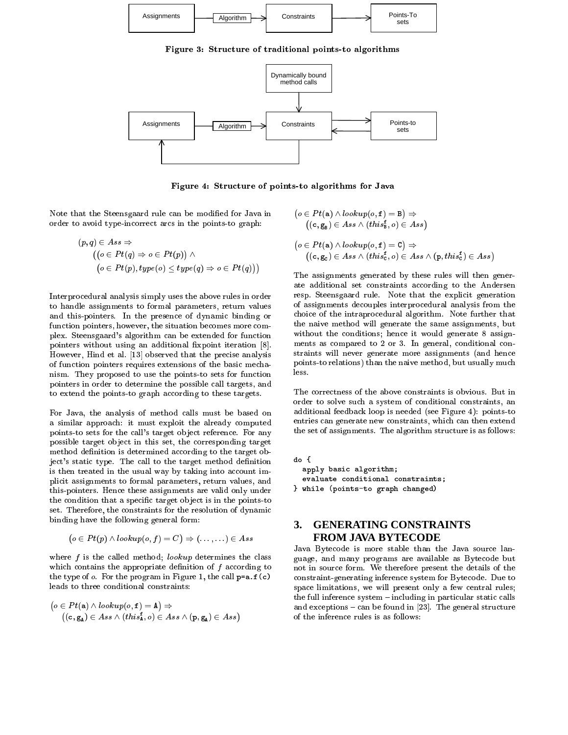

Figure 3: Stru
ture of traditional points-to algorithms



Figure 4: Stru
ture of points-to algorithms for Java

Note that the Steensgaard rule an be modied for Java in order to avoid type-in
orre
t ar
s in the points-to graph:

$$
\begin{aligned} (p,q) &\in Ass \Rightarrow \\ &\big( \big( o \in Pt(q) \Rightarrow o \in Pt(p) \big) \wedge \\ &\big( o \in Pt(p),type(o) \leq type(q) \Rightarrow o \in Pt(q) \big) \big) \end{aligned}
$$

Interpro
edural analysis simply uses the above rules in order to handle assignments to formal parameters, return values and this-pointers. In the presen
e of dynami binding or function pointers, however, the situation becomes more complex. Steensgaard's algorithm an be extended for fun
tion pointers without using an additional fixpoint iteration [8]. However, Hind et al. [13] observed that the precise analysis of fun
tion pointers requires extensions of the basi me
hanism. They proposed to use the points-to sets for fun
tion pointers in order to determine the possible all targets, and to extend the points-to graph according to these targets.

For Java, the analysis of method calls must be based on a similar approa
h: it must exploit the already omputed points-to sets for the all's target ob je
t referen
e. For any possible target object in this set, the corresponding target method definition is determined according to the target object's static type. The call to the target method definition is then treated in the usual way by taking into account impli
it assignments to formal parameters, return values, and this-pointers. Hen
e these assignments are valid only under the condition that a specific target object is in the points-to set. Therefore, the constraints for the resolution of dynamic binding have the following general form:

$$
(o \in Pt(p) \land lookup(o, f) = C) \Rightarrow (\dots, \dots) \in Ass
$$

where  $f$  is the called method; *lookup* determines the class which contains the appropriate definition of  $f$  according to the type of  $o$ . For the program in Figure 1, the call  $p=a.f(c)$ leads to three onditional onstraints:

$$
(o \in Pt(a) \land lookup(o, f) = A) \Rightarrow ((c, g_A) \in Ass \land (this_1^f, o) \in Ass \land (p, g_A) \in Ass)
$$

$$
(o \in Pt(a) \land \text{lookup}(o, \mathbf{f}) = \mathbf{B}) \Rightarrow ((c, g_{\mathbf{B}}) \in Ass \land (\text{this}_{\mathbf{B}}^{\mathbf{f}}, o) \in Ass)
$$

$$
(o \in Pt(a) \land \text{lookup}(o, f) = C) \Rightarrow ((c, g_c) \in \text{Ass} \land (\text{this}_c^f, o) \in \text{Ass} \land (p, \text{this}_c^f) \in \text{Ass})
$$

The assignments generated by these rules will then generate additional set constraints according to the Andersen resp. Steensgaard rule. Note that the expli
it generation of assignments de
ouples interpro
edural analysis from the hoi
e of the intrapro
edural algorithm. Note further that the naive method will generate the same assignments, but without the onditions; hen
e it would generate 8 assignments as compared to 2 or 3. In general, conditional constraints will never generate more assignments (and hen
e points-to relations) than the naive method, but usually mu
h less.

The correctness of the above constraints is obvious. But in order to solve su
h a system of onditional onstraints, an additional feedba
k loop is needed (see Figure 4): points-to entries an generate new onstraints, whi
h an then extend the set of assignments. The algorithm structure is as follows:

do {

```
apply basi
 algorithm;
  evaluate 
onditional 
onstraints;
} while (points-to graph 
hanged)
```
## **3. GENERATING CONSTRAINTS FROM JAVA BYTECODE**

Java Bytecode is more stable than the Java source language, and many programs are available as Byte
ode but not in sour
e form. We therefore present the details of the onstraint-generating inferen
e system for Byte
ode. Due to spa
e limitations, we will present only a few entral rules; the full inference system - including in particular static calls and exceptions  $-$  can be found in [23]. The general structure of the inferen
e rules is as follows: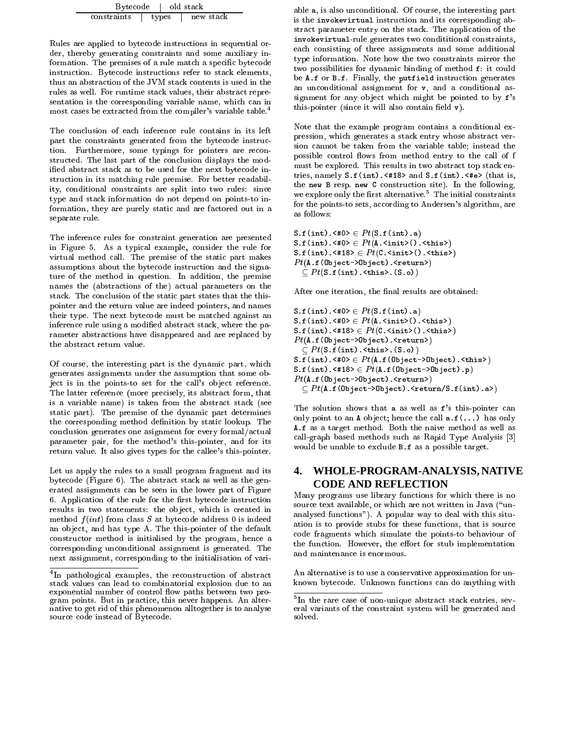| <b>Bytecode</b> | old stack |       |  |           |  |  |
|-----------------|-----------|-------|--|-----------|--|--|
| constraints     |           | types |  | new stack |  |  |

Rules are applied to bytecode instructions in sequential order, thereby generating onstraints and some auxiliary information. The premises of a rule match a specific bytecode instruction. Bytecode instructions refer to stack elements, thus an abstraction of the JVM stack contents is used in the rules as well. For runtime stack values, their abstract representation is the corresponding variable name, which can in most cases be extracted from the compiler's variable table.<sup>4</sup>

The on
lusion of ea
h inferen
e rule ontains in its left part the constraints generated from the bytecode instruction. Furthermore, some typings for pointers are reconstructed. The last part of the conclusion displays the modified abstract stack as to be used for the next bytecode instruction in its matching rule premise. For better readability, onditional onstraints are split into two rules: sin
e type and sta
k information do not depend on points-to information, they are purely static and are factored out in a separate rule.

The inferen
e rules for onstraint generation are presented in Figure 5. As a typi
al example, onsider the rule for virtual method all. The premise of the stati part makes assumptions about the byte
ode instru
tion and the signature of the method in question. In addition, the premise names the (abstractions of the) actual parameters on the stack. The conclusion of the static part states that the thispointer and the return value are indeed pointers, and names their type. The next byte
ode must be mat
hed against an inference rule using a modified abstract stack, where the parameter abstra
tions have disappeared and are repla
ed by the abstra
t return value.

Of ourse, the interesting part is the dynami part, whi
h generates assignments under the assumption that some obje
t is in the points-to set for the all's ob je
t referen
e. The latter referen
e (more pre
isely, its abstra
t form, that is a variable name) is taken from the abstract stack (see static part). The premise of the dynamic part determines the corresponding method definition by static lookup. The conclusion generates one asignment for every formal/actual parameter pair, for the method's this-pointer, and for its return value. It also gives types for the allee's this-pointer.

Let us apply the rules to a small program fragment and its bytecode (Figure 6). The abstract stack as well as the generated assignments an be seen in the lower part of Figure 6. Application of the rule for the first bytecode instruction results in two statements: the object, which is created in method  $f(int)$  from class S at bytecode address 0 is indeed an ob je
t, and has type A. The this-pointer of the default onstru
tor method is initialised by the program, hen
e a orresponding un
onditional assignment is generated. The next assignment, orresponding to the initialisation of variable a, is also un
onditional. Of ourse, the interesting part is the invokevirtual instruction and its corresponding abstract parameter entry on the stack. The application of the invokevirtual-rule generates two condititional constraints, ea
h onsisting of three assignments and some additional type information. Note how the two onstraints mirror the two possibilities for dynamic binding of method f: it could be A.f or B.f. Finally, the putfield instruction generates an unconditional assignment for  $v$ , and a conditional assignment for any object which might be pointed to by f's this-pointer (since it will also contain field  $\mathbf{v}$ ).

Note that the example program ontains a onditional expression, whi
h generates a sta
k entry whose abstra
t version annot be taken from the variable table; instead the possible control flows from method entry to the call of f must be explored. This results in two abstract top stack entries, namely S.f(int).<#18> and S.f(int).<#e> (that is, the new B resp. new C construction site). In the following, we explore only the first alternative. The initial constraints for the points-to sets, according to Andersen's algorithm, are as follows:

S.f(int). $\langle$ #0>  $\in$   $Pt(S.f(int).a)$ S.f(int).<#0>  $\in Pt(A.\langle \texttt{init}\rangle).$  <this>) S.f(int). $\langle$ #18>  $\in Pt(C.\langle \text{init}\rangle)$ . $\langle \text{this}\rangle)$  $Pt(A.f(Object-)Object).$  <return>)  $\mathcal{L}$  to the set of  $\mathcal{L}$ . The set of  $\mathcal{L}$ 

After one iteration, the final results are obtained:

S.f(int). $\langle$ #0>  $\in$   $Pt(S.f(int).a)$ S.f(int).<#0>  $\in Pt(A.\langle \texttt{init}\rangle().\langle \texttt{this}\rangle)$ S.f(int). $\langle$ #18>  $\in$   $Pt(C.\langle \text{init}\rangle)$ . $\langle \text{this}\rangle)$  $Pt(A.f(Object->Object).$  <return>) P t(S.f(int).<this>.(S.o)) S.f(int).<#0>  $\in Pt(A.f(Object-)Object).$ <this>) S.f(int).<#18>  $\in Pt(A.f(Object-)Object)$ .p)  $Pt(A.f(Object-)Object) .$  (return) the theory is the complete that the content of the content of the content of the content of the content of the

The solution shows that a as well as f's this-pointer can only point to an A object; hence the call  $a.f(...)$  has only A.f as a target method. Both the naive method as well as call-graph based methods such as Rapid Type Analysis [3] would be unable to ex
lude B.f as a possible target.

## **4. WHOLE-PROGRAM-ANALYSIS, NATIVE CODE AND REFLECTION**

Many programs use library functions for which there is no source text available, or which are not written in Java ("unanalysed fun
tions"). A popular way to deal with this situation is to provide stubs for these fun
tions, that is sour
e ode fragments whi
h simulate the points-to behaviour of the function. However, the effort for stub implementation and maintenan
e is enormous.

An alternative is to use a conservative approximation for unknown byte
ode. Unknown fun
tions an do anything with

In pathological examples, the reconstruction of abstract stack values can lead to combinatorial explosion due to an exponential number of control flow paths between two program points. But in pra
ti
e, this never happens. An alternative to get rid of this phenomenon alltogether is to analyse source code instead of Bytecode.

In the rare case of non-unique abstract stack entries, several variants of the onstraint system will be generated and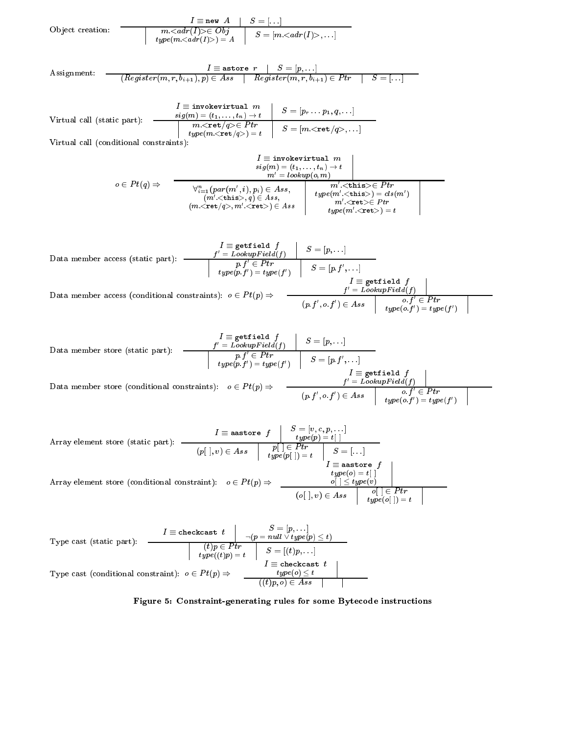$$
\text{Object creation: }\quad \, \overbrace{\qquad \qquad } \qquad \qquad I \equiv \texttt{new} \;\; A \quad \mid \;\; S = [\ldots] \qquad } \\ \text{Object creation: }\quad \, \overbrace{\qquad \qquad } \qquad \qquad } \qquad \qquad \, \textit{max} \; \textit{c} \; \textit{adr}(I) > \in \textit{Obj} \qquad } \qquad S = [m.<\textit{adr}(I) >, \ldots] \\ \text{type}(\textit{m}.\textit{c} \; \textit{adr}(I)) > \mid = A \quad \mid \;\; S = [m.<\textit{adr}(I) >, \ldots] \\
$$

$$
\text{Assignment:}\qquad \qquad \frac{I \equiv \texttt{astrore} \quad r \quad \quad S = [p,\ldots]}{\textit{(Register(m,r,b_{i+1}), p) \in Ass \quad \mid \quad Register(m,r,b_{i+1}) \in Ptr \quad \mid \quad S = [\ldots]}}
$$

$$
\text{Virtual call (static part):} \quad \begin{array}{c|c|c|c|c} & I \equiv \texttt{invokerertual} & m & S = [p_r \dots p_1, q, \dots] \\ \hline \texttt{softmax} & sig(m) = (t_1, \dots, t_n) \rightarrow t & S = [p_r \dots p_1, q, \dots] \\ & m < \texttt{ret}(q) \in Ptr & S = [m < \texttt{ret}(q) \times \dots] \\ & type(m < \texttt{ret}(q) \geq 0) = t & S = [m < \texttt{ret}(q) \times \dots] \end{array}
$$

Virtual all (
onditional onstraints):

$$
\begin{array}{l} I \equiv \verb+invokerertual+ m\\ \mathit{sig}(m) = (t_1, \ldots, t_n) \rightarrow t\\ m' = \mathit{lookup}(o, m) \end{array}
$$

| $o \in Pt(q) \Rightarrow$ | $\forall_{i=1}^n (par(m', i), p_i) \in Ass,$<br>$(m' <$ this $>$ , $q) \in Ass$ ,<br>$(m {\text{.}}{\mathsf{cret}}/q {\text{.}}, m' {\text{.}}{\text{.}}{\mathsf{cret}}) \in Ass$ | $m'$ < this $\geq$ $Ftr$<br>$type(m' < \mathtt{this}>) = cls(m')$<br>$m' <$ ret $\ge \in Ptr$ |  |
|---------------------------|-----------------------------------------------------------------------------------------------------------------------------------------------------------------------------------|-----------------------------------------------------------------------------------------------|--|
|                           |                                                                                                                                                                                   | $type(m' < \mathtt{ret}) = t$                                                                 |  |

| $I \equiv \text{getfield } f$                 | $S = [p, \ldots]$                             |                   |
|-----------------------------------------------|-----------------------------------------------|-------------------|
| Data member access (static part):             | $f' = LookupField(f)$                         | $S = [p, \ldots]$ |
| $p.f' \in Ptr$                                | $S = [p.f', \ldots]$                          |                   |
| Data member access (conditional constraints): | $o \in Pt(p) \Rightarrow f' = LookupField(f)$ |                   |
| $f' = LookupField(f)$                         | $f' = LookupField(f)$                         |                   |
| $f' = LookupField(f)$                         | $f' = LookupField(f)$                         |                   |
| $f' = LookupField(f)$                         | $f' = LookupField(f)$                         |                   |
| $f' = LookupField(f)$                         | $f' = LookupField(f)$                         |                   |

| $I \equiv \text{getfield } f$                | $S = [p, \ldots]$                             |                   |
|----------------------------------------------|-----------------------------------------------|-------------------|
| Data member store (static part):             | $f' = LookupField(f)$                         | $S = [p, \ldots]$ |
| $p.f' \in Ptr$                               | $S = [p.f', \ldots]$                          |                   |
| Data member store (conditional constraints): | $o \in Pt(p) \Rightarrow f' = LookupField(f)$ |                   |
| $f' = LookupField(f)$                        | $f' = LookupField(f)$                         |                   |
| $p.f', o.f') \in Ass$                        | $o.f' \in Ptr$                                |                   |
| $(p.f', o.f') \in Ass$                       | $o.f' \in Ptr$                                |                   |

Array element store (static part):  
\n
$$
I \equiv \text{aastore } f \mid S = [v, c, p, \ldots]
$$
\n
$$
(p[., v) \in Ass \mid \begin{array}{c} s = [v, c, p, \ldots] \\ type(p) = t[] \\ type(p[.]) = t \mid S = [\ldots] \end{array}
$$
\n
$$
I \equiv \text{aastore } f
$$
\n
$$
I \equiv \text{aastore } f
$$
\n
$$
type(o) = t[]
$$
\n
$$
(o[., v) \in Ass \mid o[] \le type(v)
$$
\n
$$
(o[., v) \in Ass \mid o[] \in Ptr
$$
\n
$$
type(o) = t[]
$$
\n
$$
e[0] = t
$$

Type cast (static part):  
\n
$$
\frac{I \equiv \text{checkcast} \ t \qquad \neg(p = null \lor type(p) \leq t)}{t \text{type} (t)p) = t \qquad S = [t)p, \dots]}
$$
\nType cast (conditional constraint):  
\n
$$
o \in Pt(p) \Rightarrow \frac{I \equiv \text{checkcast} \ t}{t \text{type}(o) \leq t}
$$
\n
$$
\frac{I \equiv \text{checkcast} \ t}{t \text{type}(o) \leq t}
$$

## Figure 5: Constraint-generating rules for some Bytecode instructions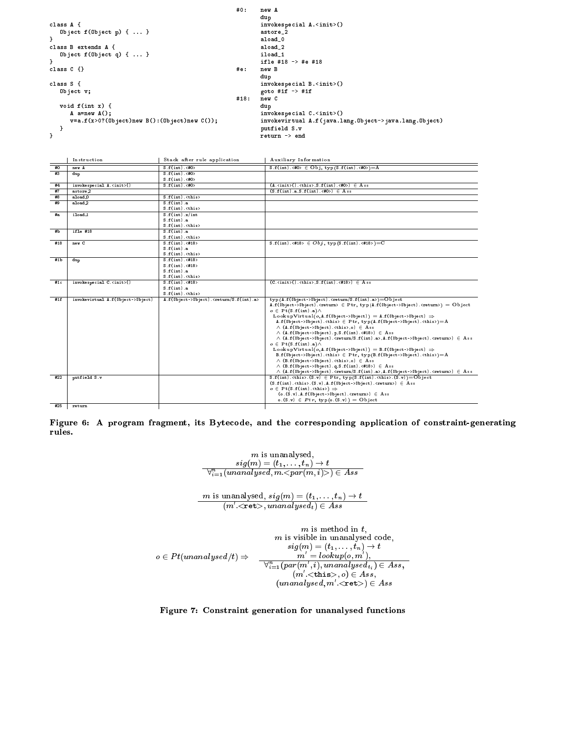|                                                | #0:  | new A<br>dup                                          |
|------------------------------------------------|------|-------------------------------------------------------|
| class A {                                      |      | $invokespecial$ A. $\langle init \rangle()$           |
| Object $f(0$ bject $p)$ {  }                   |      | astore_2                                              |
| $\mathbf{F}$                                   |      | aload_0                                               |
| class B extends A {                            |      | aload_2                                               |
| Object $f(0$ bject q) $\{ \ldots \}$           |      | iload_1                                               |
| $\mathbf{F}$                                   |      | ifle #18 $\rightarrow$ #e #18                         |
| class C {}                                     | #e:  | new B                                                 |
|                                                |      | dup                                                   |
| class S f                                      |      | invokespecial B. <i>init&gt;</i> )                    |
| Object v:                                      |      | goto #1f $\rightarrow$ #1f                            |
|                                                | #18: | new C                                                 |
| void $f(int x) f$                              |      | dup                                                   |
| $A = new A()$ :                                |      | invokespecial C. <i>init&gt;</i> )                    |
| $v=a.f(x>0?(0bject)$ new B():(0bject)new C()); |      | invokevirtual A.f(java.lang.Object->java.lang.Object) |
| ŀ                                              |      | putfield S.v                                          |
| 7                                              |      | $return -$ > end                                      |

|     | Instruction                       | Stack after rule application                            | Auxiliary Information                                                                                                                                                                                                                                                                                                                                                                                                                                                                                                                                                                                                                                                                                                                                                                                                                                                                                                               |
|-----|-----------------------------------|---------------------------------------------------------|-------------------------------------------------------------------------------------------------------------------------------------------------------------------------------------------------------------------------------------------------------------------------------------------------------------------------------------------------------------------------------------------------------------------------------------------------------------------------------------------------------------------------------------------------------------------------------------------------------------------------------------------------------------------------------------------------------------------------------------------------------------------------------------------------------------------------------------------------------------------------------------------------------------------------------------|
| #0  | new A                             | $S.f(int).$ $\langle 40 \rangle$                        | $s.f(int).$ $(40) \in Obj, typ(S.f(int).$ $(40) = A$                                                                                                                                                                                                                                                                                                                                                                                                                                                                                                                                                                                                                                                                                                                                                                                                                                                                                |
| #3  | dup                               | $S.f(int), \langle #0 \rangle$                          |                                                                                                                                                                                                                                                                                                                                                                                                                                                                                                                                                                                                                                                                                                                                                                                                                                                                                                                                     |
|     |                                   | $S.f(int).$ $(40)$                                      |                                                                                                                                                                                                                                                                                                                                                                                                                                                                                                                                                                                                                                                                                                                                                                                                                                                                                                                                     |
| #4  | invokespecial A. (init)()         | $S.f(int).$ $\langle 40 \rangle$                        | $(A.\langle init \rangle().\langle this \rangle, S.f(int). \langle #0 \rangle) \in Ass$                                                                                                                                                                                                                                                                                                                                                                                                                                                                                                                                                                                                                                                                                                                                                                                                                                             |
| #7  | astore <sub>2</sub>               |                                                         | $(S.f(int).a, S.f(int). \langle #0 \rangle) \in Ass$                                                                                                                                                                                                                                                                                                                                                                                                                                                                                                                                                                                                                                                                                                                                                                                                                                                                                |
| #8  | aload.0                           | $S.f(int).$ $\langle this \rangle$                      |                                                                                                                                                                                                                                                                                                                                                                                                                                                                                                                                                                                                                                                                                                                                                                                                                                                                                                                                     |
| #9  | aload <sub>2</sub>                | S.f(int).a                                              |                                                                                                                                                                                                                                                                                                                                                                                                                                                                                                                                                                                                                                                                                                                                                                                                                                                                                                                                     |
|     |                                   | $S.f(int).$ (this)                                      |                                                                                                                                                                                                                                                                                                                                                                                                                                                                                                                                                                                                                                                                                                                                                                                                                                                                                                                                     |
| #a  | iload_1                           | S.f(int).x/int                                          |                                                                                                                                                                                                                                                                                                                                                                                                                                                                                                                                                                                                                                                                                                                                                                                                                                                                                                                                     |
|     |                                   | S.f(int).a                                              |                                                                                                                                                                                                                                                                                                                                                                                                                                                                                                                                                                                                                                                                                                                                                                                                                                                                                                                                     |
|     |                                   | $S.f(int).$ $\langle this \rangle$                      |                                                                                                                                                                                                                                                                                                                                                                                                                                                                                                                                                                                                                                                                                                                                                                                                                                                                                                                                     |
| #b  | if le #18                         | S.f(int).a                                              |                                                                                                                                                                                                                                                                                                                                                                                                                                                                                                                                                                                                                                                                                                                                                                                                                                                                                                                                     |
|     |                                   | $S.f(int).$ $\langle this \rangle$                      |                                                                                                                                                                                                                                                                                                                                                                                                                                                                                                                                                                                                                                                                                                                                                                                                                                                                                                                                     |
| #18 | new C                             | $S.f(int).$ $418$                                       | $s.f(int).$ (#18> $\in Obj$ , typ( $s.f(int).$ (#18>)= C                                                                                                                                                                                                                                                                                                                                                                                                                                                                                                                                                                                                                                                                                                                                                                                                                                                                            |
|     |                                   | S.f(int).a                                              |                                                                                                                                                                                                                                                                                                                                                                                                                                                                                                                                                                                                                                                                                                                                                                                                                                                                                                                                     |
| #1b |                                   | $S.f(int).$ $\langle this \rangle$<br>$S.f(int).$ $418$ |                                                                                                                                                                                                                                                                                                                                                                                                                                                                                                                                                                                                                                                                                                                                                                                                                                                                                                                                     |
|     | dup                               | S.f(int), < 18                                          |                                                                                                                                                                                                                                                                                                                                                                                                                                                                                                                                                                                                                                                                                                                                                                                                                                                                                                                                     |
|     |                                   | S.f(int).a                                              |                                                                                                                                                                                                                                                                                                                                                                                                                                                                                                                                                                                                                                                                                                                                                                                                                                                                                                                                     |
|     |                                   | $S.f(int).$ $\langle this \rangle$                      |                                                                                                                                                                                                                                                                                                                                                                                                                                                                                                                                                                                                                                                                                                                                                                                                                                                                                                                                     |
| #1c | invokespecial C. (init)()         | $S.f(int).$ $418$                                       | $(C.\langle init \rangle(),\langle this \rangle, S.f(int). \langle #18 \rangle) \in Ass$                                                                                                                                                                                                                                                                                                                                                                                                                                                                                                                                                                                                                                                                                                                                                                                                                                            |
|     |                                   | S.f(int).a                                              |                                                                                                                                                                                                                                                                                                                                                                                                                                                                                                                                                                                                                                                                                                                                                                                                                                                                                                                                     |
|     |                                   | $S.f(int).$ $\langle this \rangle$                      |                                                                                                                                                                                                                                                                                                                                                                                                                                                                                                                                                                                                                                                                                                                                                                                                                                                                                                                                     |
| #1f | invokevirtual A.f(Object->Object) | A.f(Object->Object). <return s.f(int).a=""></return>    | $typ(A.f(0bject-)0bject)$ . $S.t(int)(a) = 0$<br>A.f(Object->Object). <return> <math>\in</math> Ptr, typ(A.f(Object-&gt;Object).<return> = Object<br/><math>o \in \mathrm{Pt}(S.f(int).a) \wedge</math><br/><math>Look upVirtual(o, A.f(Object-)Object)) = A.f(Object-)Object) \Rightarrow</math><br/>A.f(Object-&gt;Object).<this> <math>\in</math> Ptr, typ(A.f(Object-&gt;Object).<this>)=A<br/><math>\wedge</math> (A.f(Object-&gt;Object). <this>,o) <math>\in</math> Ass<br/><math>\wedge</math> (A.f(Object-&gt;Object).p,S.f(int).<math>\langle</math>#18&gt;) <math>\in</math> Ass<br/><math>\wedge</math> (A.f(Object-&gt;Object). <return s.f(int).a="">,A.f(Object-&gt;Object). <return>) <math>\in</math> Ass<br/><math>o \in \mathrm{Pt}(S.f(int).a) \wedge</math><br/><math>Look upVirtual(o, A.f(Object-)Object)) = B.f(Object-)Object) \Rightarrow</math></return></return></this></this></this></return></return> |
| #22 | putfield S.v                      |                                                         | B.f(Object->Object). <this> <math>\in</math> Ptr, typ(B.f(Object-&gt;Object).<this>)=A<br/><math>\wedge</math> (B.f(Object-&gt;Object). <this>,o) <math>\in</math> Ass<br/><math>\land</math> (B.f(Object-&gt;Object).q,S.f(int).<math>\langle</math>#18&gt;) <math>\in</math> Ass<br/><math>\wedge</math> (A.f(Object-&gt;Object). <return s.f(int).a="">,A.f(Object-&gt;Object). <return>) <math>\in</math> Ass<br/><math>s.f(int).</math> (this). <math>(s, v) \in \text{Ptr}, \text{typ}(s.f(int).</math> (this). <math>(s, v) = \text{Object}</math><br/><math>(S.f(int).{this}(.S.v).A.f(Object=&gt;Object).{return}) \in Ass</math></return></return></this></this></this>                                                                                                                                                                                                                                                   |
|     |                                   |                                                         | $o \in Pt(S.f(int).{this}\rangle) \Rightarrow$<br>$(o.(S.v), A.f(0bject-)0bject).$ (return) $\in$ Ass<br>$o. (S.v) \in Ptr, \, \text{typ}(o. (S.v)) = O \text{ bisect}$                                                                                                                                                                                                                                                                                                                                                                                                                                                                                                                                                                                                                                                                                                                                                             |
| #25 | return                            |                                                         |                                                                                                                                                                                                                                                                                                                                                                                                                                                                                                                                                                                                                                                                                                                                                                                                                                                                                                                                     |
|     |                                   |                                                         |                                                                                                                                                                                                                                                                                                                                                                                                                                                                                                                                                                                                                                                                                                                                                                                                                                                                                                                                     |

Figure 6: A program fragment, its Bytecode, and the corresponding application of constraint-generating rules.

 $\begin{array}{c} \begin{array}{c} m \text{ is unanalysed},\\ \hspace{-2.5cm} \textit{sig}(m) = (t_1, \ldots, t_n) \rightarrow t\\ \hline \begin{array}{c} \forall^n_{i=1}(\textit{unanalysed},m.<\!\!\varphi\!\!\:\textit{ar}(m,i)\!\!>\) \in Ass \end{array} \end{array} \end{array}$  $\begin{array}{c} \begin{array}{c} m \; \text{is unanalysed,} \; sig(m) = (t_1, \ldots, t_n) \rightarrow t \\ \begin{array}{c} (m'.\texttt{}, unanalysed_t) \in Ass \end{array} \end{array} \end{array}$  $m$  is method in  $t$ ,  $m$  is visible in unanalysed code,  $\begin{array}{r} \text{$\langle \mathit{sig}(m) = (t_1, \ldots, t_n) \rightarrow t$} \ \text{with} \ \mathit{sig}(m) = (t_1, \ldots, t_n) \rightarrow t$} \ \hline \ \text{$\forall_{i=1}^n (\mathit{par(m',i)},\mathit{unanalysed}_{t_i}) \in Ass$,}\ \mathit{var}(\mathit{m'.}, o) \in Ass$,}\ \mathit{(unanalysed,m'.<\verb|ret>)} \in Ass \end{array}$  $o \in Pt(unanalyse d/t) \Rightarrow$ 

#### Figure 7: Constraint generation for unanalysed functions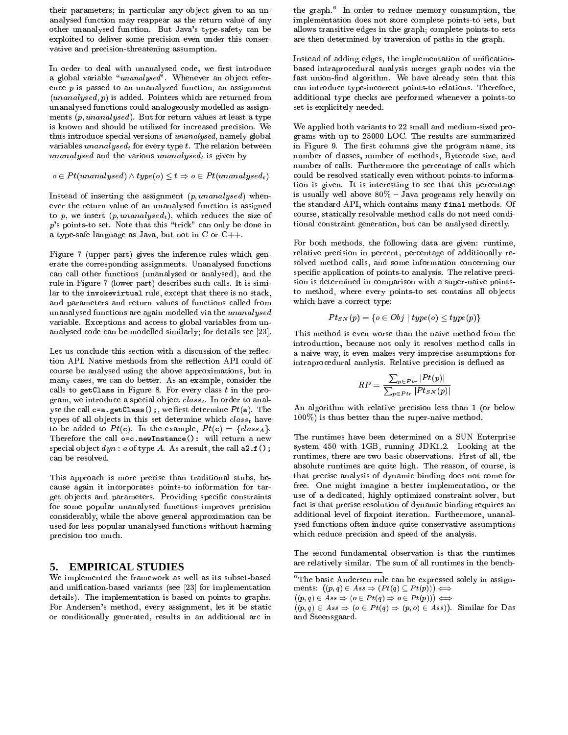their parameters; in particular any object given to an unanalysed fun
tion may reappear as the return value of any other unanalysed fun
tion. But Java's type-safety an be exploited to deliver some precision even under this conservative and precision-threatening assumption.

In order to deal with unanalysed code, we first introduce a global variable "unanalysed". Whenever an object reference  $p$  is passed to an unanalyzed function, an assignment  $(unanalysed, p)$  is added. Pointers which are returned from unanalysed fun
tions ould analogeously modelled as assignments  $(p, unanalysed)$ . But for return values at least a type is known and should be utilized for increased precision. We thus introduce special versions of unanalysed, namely global variables unanalysed<sub>t</sub> for every type t. The relation between unanalysed and the various unanalysed<sub>t</sub> is given by

#### $o \in Pt(unanalysed) \wedge type(o) \leq t \Rightarrow o \in Pt(unanalysed_t)$

Instead of inserting the assignment  $(p, unanalused)$  whenever the return value of an unanalysed function is assigned to p, we insert  $(p, unanalysed_t)$ , which reduces the size of  $p$ 's points-to set. Note that this "trick" can only be done in a type-safe language as Java, but not in  $C$  or  $C++$ .

Figure 7 (upper part) gives the inferen
e rules whi
h generate the orresponding assignments. Unanalysed fun
tions an all other fun
tions (unanalysed or analysed), and the rule in Figure 7 (lower part) describes such calls. It is similar to the invokevirtual rule, except that there is no stack, and parameters and return values of functions called from unanalysed fun
tions are again modelled via the unanalysed variable. Exceptions and access to global variables from unanalysed code can be modelled similarly; for details see [23].

Let us conclude this section with a discussion of the reflection API. Native methods from the reflection API could of ourse be analysed using the above approximations, but in many cases, we can do better. As an example, consider the calls to getClass in Figure 8. For every class  $t$  in the program, we introduce a special object  $class_t$ . In order to analyse the call  $c=a$ . getClass();, we first determine  $Pt(a)$ . The types of all objects in this set determine which  $class_t$  have to be added to  $Pt(c)$ . In the example,  $Pt(c) = \{class_A\}.$ Therefore the call o=c.newInstance(): will return a new special object  $dyn: a$  of type A. As a result, the call  $a2.f()$ ; an be resolved.

This approach is more precise than traditional stubs, beause again it in
orporates points-to information for target objects and parameters. Providing specific constraints for some popular unanalysed functions improves precision onsiderably, while the above general approximation an be used for less popular unanalysed functions without harming precision too much.

#### **5. EMPIRICAL STUDIES**

We implemented the framework as well as its subset-based and unification-based variants (see [23] for implementation details). The implementation is based on points-to graphs. For Andersen's method, every assignment, let it be stati or onditionally generated, results in an additional ar in

the graph. In order to reduce memory consumption, the implementation does not store omplete points-to sets, but allows transitive edges in the graph; omplete points-to sets are then determined by traversion of paths in the graph.

Instead of adding edges, the implementation of unificationbased intrapro
edural analysis merges graph nodes via the fast union-find algorithm. We have already seen that this an introdu
e type-in
orre
t points-to relations. Therefore, additional type he
ks are performed whenever a points-to set is explicitely needed.

We applied both variants to 22 small and medium-sized programs with up to 25000 LOC. The results are summarized in Figure 9. The first columns give the program name, its number of lasses, number of methods, Byte
ode size, and number of calls. Furthermore the percentage of calls which ould be resolved stati
ally even without points-to information is given. It is interesting to see that this percentage is usually well above  $80\%$  - Java programs rely heavily on the standard API, whi
h ontains many final methods. Of ourse, stati
ally resolvable method alls do not need onditional constraint generation, but can be analysed directly.

For both methods, the following data are given: runtime, relative precision in percent, percentage of additionally resolved method calls, and some information concerning our specific application of points-to analysis. The relative precision is determined in omparison with a super-naive pointsto method, where every points-to set contains all objects which have a correct type:

$$
Pt_{SN}(p)=\{o\in Obj\;|\;type(o)\leq type(p)\}
$$

This method is even worse than the naive method from the introduction, because not only it resolves method calls in a naive way, it even makes very impre
ise assumptions for intraprocedural analysis. Relative precision is defined as

$$
RP = \frac{\sum_{p \in Ptr} |Pt(p)|}{\sum_{p \in Ptr} |Pt_{SN}(p)|}
$$

An algorithm with relative pre
ision less than 1 (or below 100%) is thus better than the super-naive method.

The runtimes have been determined on a SUN Enterprise system 450 with 1GB, running JDK1.2. Looking at the runtimes, there are two basic observations. First of all, the absolute runtimes are quite high. The reason, of course, is that pre
ise analysis of dynami binding does not ome for free. One might imagine a better implementation, or the use of a dedicated, highly optimized constraint solver, but fact is that precise resolution of dynamic binding requires an additional level of fixpoint iteration. Furthermore, unanalysed fun
tions often indu
e quite onservative assumptions which reduce precision and speed of the analysis.

The second fundamental observation is that the runtimes are relatively similar. The sum of all runtimes in the ben
h-

The basic Andersen rule can be expressed solely in assignments:  $((p,q) \in Ass \Rightarrow (Pt(q) \subseteq Pt(p))) \iff$ 

 $((p, q) \in Ass \Rightarrow (o \in Pt(q) \Rightarrow o \in Pt(p))) \Longleftrightarrow$ 

 $((p,q) \in Ass \Rightarrow (o \in Pt(q) \Rightarrow (p,o) \in Ass))$ . Similar for Das and Steensgaard.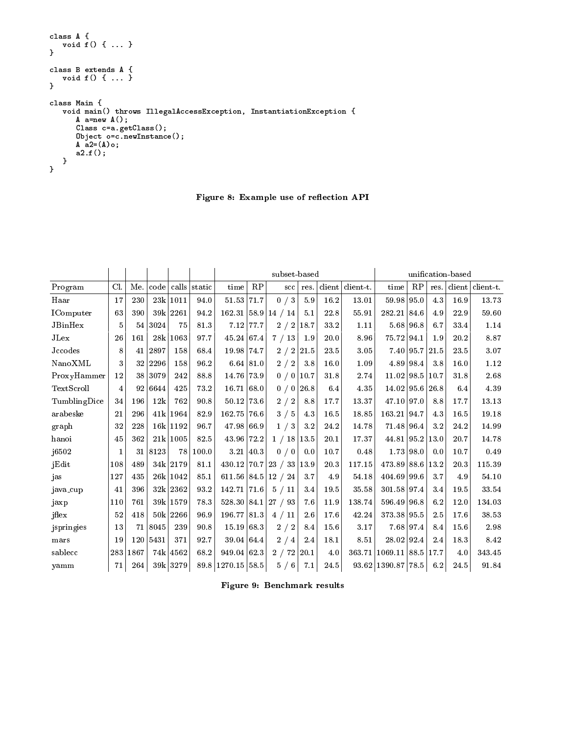```
class A {
     void f() { ... }
\mathbf{r}class B extends A \n\begin{cases} 0 & \text{if } 0 \leq x \leq 1 \\ 0 & \text{if } 0 \leq x \leq 1 \end{cases}\mathcal{F}class Main {
     void main() throws IllegalAccessException, InstantiationException {
           A a=new A();
          Class c=a.getClass();<br>Object o=c.newInstance();
          \overline{A} a2 = (A)o;
          a2.f();\mathbf{r}\mathbf{F}
```
Figure 8: Example use of reflection API

|                |              |      |            |              |              | subset based      |             |                            |         |          | unification-based |                         |             |      |      |                  |
|----------------|--------------|------|------------|--------------|--------------|-------------------|-------------|----------------------------|---------|----------|-------------------|-------------------------|-------------|------|------|------------------|
| Program        | Cl.          | Me.  | code       |              | calls static | time              | RP          | scc                        | res.    |          | client client t.  | time                    | RP          | res. |      | client client t. |
| Haar           | 17           | 230  |            | 23k 1011     | 94.0         | 51.53   71.7      |             | 0/3                        | 5.9     | $16.2\,$ | 13.01             | 59.98 95.0              |             | 4.3  | 16.9 | 13.73            |
| IComputer      | 63           | 390  |            | 39k 2261     | 94.2         |                   |             | 162.31 58.9 14 / 14        | 5.1     | 22.8     | 55.91             | 282.21 84.6             |             | 4.9  | 22.9 | 59.60            |
| JBinHex        | 5            |      | 54 3024    | 75           | 81.3         |                   | $7.12$ 77.7 | 2/2                        | 18.7    | 33.2     | 1.11              |                         | 5.68 96.8   | 6.7  | 33.4 | 1.14             |
| JLex           | 26           | 161  |            | 28k 1063     | 97.7         | $45.24$ 67.4      |             | 7/13                       | 1.9     | 20.0     | 8.96              | 75.72 94.1              |             | 1.9  | 20.2 | 8.87             |
| <b>Jccodes</b> | 8            |      | 41 2897    | 158          | 68.4         | 19.98 74.7        |             | 2/2                        | 21.5    | 23.5     | 3.05              |                         | $7.40$ 95.7 | 21.5 | 23.5 | 3.07             |
| NanoXML        | 3            |      | 32 2296    | 158          | 96.2         |                   | $6.64$ 81.0 | 2/2                        | 3.8     | 16.0     | 1.09              |                         | 4.89 98.4   | 3.8  | 16.0 | 1.12             |
| ProxyHammer    | 12           |      | 38 3079    | 242          | 88.8         | 14.76 73.9        |             | 0/0                        | 10.7    | 31.8     | 2.74              | 11.02 98.5              |             | 10.7 | 31.8 | 2.68             |
| TextScroll     | 4            |      | 92 6644    | 425          | 73.2         | 16.71 68.0        |             | $0/0$  26.8                |         | 6.4      | 4.35              | 14.02 95.6              |             | 26.8 | 6.4  | 4.39             |
| TumblingDice   | 34           | 196  | 12k        | 762          | 90.8         | $50.12$ 73.6      |             | 2/2                        | 8.8     | 17.7     | 13.37             | 47.10 97.0              |             | 8.8  | 17.7 | 13.13            |
| arabeske       | 21           | 296  |            | $41k$   1964 | 82.9         | 162.75 76.6       |             | 3/5                        | 4.3     | 16.5     | 18.85             | 163.21 94.7             |             | 4.3  | 16.5 | 19.18            |
| graph          | 32           | 228  |            | 16k 1192     | 96.7         | 47.98 66.9        |             | 1/3                        | 3.2     | 24.2     | 14.78             | 71.48 96.4              |             | 3.2  | 24.2 | 14.99            |
| hanoi          | 45           | 362  |            | 21k 1005     | 82.5         | 43.96 72.2        |             | 1 / 18   13.5              |         | 20.1     | 17.37             | 44.81 95.2              |             | 13.0 | 20.7 | 14.78            |
| j6502          | $\mathbf{1}$ |      | 31 8 1 2 3 | 78           | 100.0        |                   | $3.21$ 40.3 | 0/0                        | 0.0     | 10.7     | 0.48              |                         | 1.73 98.0   | 0.0  | 10.7 | 0.49             |
| jEdit          | 108          | 489  |            | $34k$  2179  | 81.1         |                   |             | $430.12$ 70.7 23 / 33 13.9 |         | 20.3     | 117.15            | 473.89 88.6             |             | 13.2 | 20.3 | 115.39           |
| ias            | 127          | 435  |            | $26k$  1042  | 85.1         |                   |             | 611.56 84.5 12 / 24        | 3.7     | 4.9      | 54.18             | 404.69 99.6             |             | 3.7  | 4.9  | 54.10            |
| java_cup       | 41           | 396  |            | $32k$  2362  | 93.2         | $142.71$ 71.6     |             | 5/11                       | 3.4     | 19.5     | 35.58             | 301.58 97.4             |             | 3.4  | 19.5 | 33.54            |
| jaxp           | 110          | 761  |            | $39k$  1579  | 78.3         |                   |             | $528.30\, 84.1\, 27/93 $   | 7.6     | 11.9     | 138.74            | 596.49 96.8             |             | 6.2  | 12.0 | 134.03           |
| jflex          | 52           | 418  |            | 50k 2266     | 96.9         | 196.77 81.3       |             | 4/11                       | 2.6     | 17.6     | 42.24             | 373.38 95.5             |             | 2.5  | 17.6 | 38.53            |
| jspringies     | 13           |      | 71 8045    | 239          | 90.8         | 15.19 68.3        |             | 2 / 2                      | 8.4     | 15.6     | 3.17              |                         | 7.68 97.4   | 8.4  | 15.6 | 2.98             |
| mars           | 19           |      | 120 5431   | 371          | 92.7         | 39.04 64.4        |             | 2/4                        | 2.4     | 18.1     | 8.51              | $28.02$ 92.4            |             | 2.4  | 18.3 | 8.42             |
| sablecc        | 283 I        | 1867 |            | 74k 4562     | 68.2         | $949.04$ 62.3     |             | 2 / 72   20.1              |         | 4.0      |                   | 363.71   1069.11   88.5 |             | 17.7 | 4.0  | 343.45           |
| yamm           | 71           | 264  |            | $39k$ 3279   |              | 89.8 1270.15 58.5 |             | 5/6                        | $7.1\,$ | 24.5     |                   | 93.62   1390.87   78.5  |             | 6.2  | 24.5 | 91.84            |

Figure 9: Benchmark results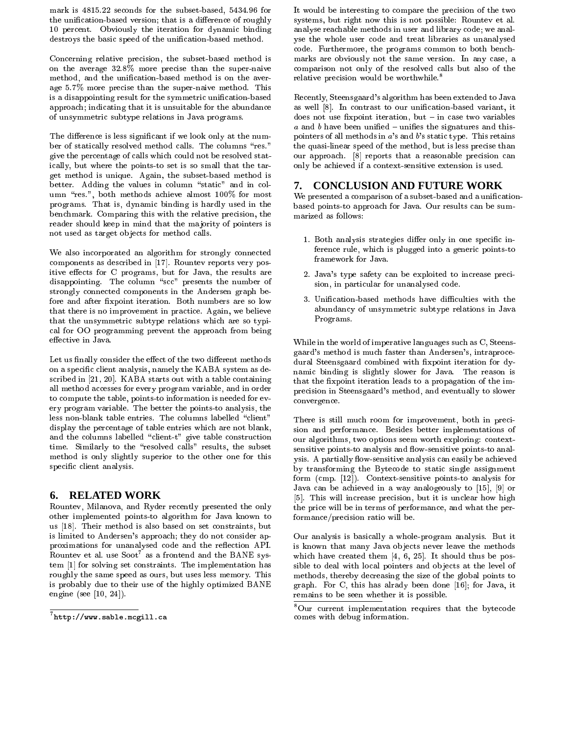mark is 4815.22 se
onds for the subset-based, 5434.96 for the unification-based version; that is a difference of roughly 10 per
ent. Obviously the iteration for dynami binding destroys the basic speed of the unification-based method.

Concerning relative precision, the subset-based method is on the average 32.8% more pre
ise than the super-naive method, and the unification-based method is on the average 5.7% more pre
ise than the super-naive method. This is a disappointing result for the symmetric unification-based approach; indicating that it is unsuitable for the abundance of unsymmetric subtype relations in Java programs.

The difference is less significant if we look only at the number of statically resolved method calls. The columns "res." give the per
entage of alls whi
h ould not be resolved stati
ally, but where the points-to set is so small that the target method is unique. Again, the subset-based method is better. Adding the values in column "static" and in column "res.", both methods achieve almost 100% for most programs. That is, dynami binding is hardly used in the benchmark. Comparing this with the relative precision, the reader should keep in mind that the majority of pointers is not used as target objects for method calls.

We also incorporated an algorithm for strongly connected components as described in [17]. Rountev reports very positive effects for C programs, but for Java, the results are disappointing. The column "scc" presents the number of strongly onne
ted omponents in the Andersen graph before and after fixpoint iteration. Both numbers are so low that there is no improvement in practice. Again, we believe that the unsymmetric subtype relations which are so typial for OO programming prevent the approa
h from being effective in Java.

Let us finally consider the effect of the two different methods on a specific client analysis, namely the KABA system as described in  $[21, 20]$ . KABA starts out with a table containing all method accesses for every program variable, and in order to ompute the table, points-to information is needed for every program variable. The better the points-to analysis, the less non-blank table entries. The columns labelled "client" display the per
entage of table entries whi
h are not blank, and the columns labelled "client-t" give table construction time. Similarly to the "resolved calls" results, the subset method is only slightly superior to the other one for this specific client analysis.

### **6. RELATED WORK**

Rountev, Milanova, and Ryder re
ently presented the only other implemented points-to algorithm for Java known to us  $[18]$ . Their method is also based on set constraints, but is limited to Andersen's approach; they do not consider approximations for unanalysed code and the reflection API. Rountev et al. use Soot as a frontend and the BANE sys $tem$   $[1]$  for solving set constraints. The implementation has roughly the same speed as ours, but uses less memory. This is probably due to their use of the highly optimized BANE engine (see  $[10, 24]$ ).

It would be interesting to compare the precision of the two systems, but right now this is not possible: Rountev et al. analyse rea
hable methods in user and library ode; we analyse the whole user ode and treat libraries as unanalysed ode. Furthermore, the programs ommon to both ben
hmarks are obviously not the same version. In any case, a omparison not only of the resolved alls but also of the relative precision would be worthwhile.<sup>8</sup>

Re
ently, Steensgaard's algorithm has been extended to Java as well [8]. In contrast to our unification-based variant, it does not use fixpoint iteration, but  $-$  in case two variables  $a$  and  $b$  have been unified  $-$  unifies the signatures and thispointers of all methods in  $a$ 's and  $b$ 's static type. This retains the quasi-linear speed of the method, but is less precise than our approach. [8] reports that a reasonable precision can only be a
hieved if a ontext-sensitive extension is used.

#### **7. CONCLUSION AND FUTURE WORK**

We presented a comparison of a subset-based and a unificationbased points-to approach for Java. Our results can be summarized as follows:

- 1. Both analysis strategies differ only in one specific inference rule, which is plugged into a generic points-to framework for Java.
- 2. Java's type safety an be exploited to in
rease pre
ision, in particular for unanalysed code.
- 3. Unification-based methods have difficulties with the abundancy of unsymmetric subtype relations in Java Programs.

While in the world of imperative languages su
h as C, Steensgaard's method is mu
h faster than Andersen's, intrapro
edural Steensgaard combined with fixpoint iteration for dynami binding is slightly slower for Java. The reason is that the fixpoint iteration leads to a propagation of the impre
ision in Steensgaard's method, and eventually to slower onvergen
e.

There is still much room for improvement, both in precision and performan
e. Besides better implementations of our algorithms, two options seem worth exploring: contextsensitive points-to analysis and flow-sensitive points-to analysis. A partially flow-sensitive analysis can easily be achieved by transforming the Bytecode to static single assignment form  $\pmod{12}$ . Context-sensitive points-to analysis for Java can be achieved in a way analogeously to  $[15]$ ,  $[9]$  or [5]. This will increase precision, but it is unclear how high the pri
e will be in terms of performan
e, and what the performan
e/pre
ision ratio will be.

Our analysis is basi
ally a whole-program analysis. But it is known that many Java objects never leave the methods which have created them  $[4, 6, 25]$ . It should thus be possible to deal with local pointers and objects at the level of methods, thereby de
reasing the size of the global points to graph. For C, this has alrady been done  $[16]$ ; for Java, it remains to be seen whether it is possible.

<sup>.</sup>http://www.sable.mcglll.ca

Uur current implementation requires that the bytecode omes with debug information.